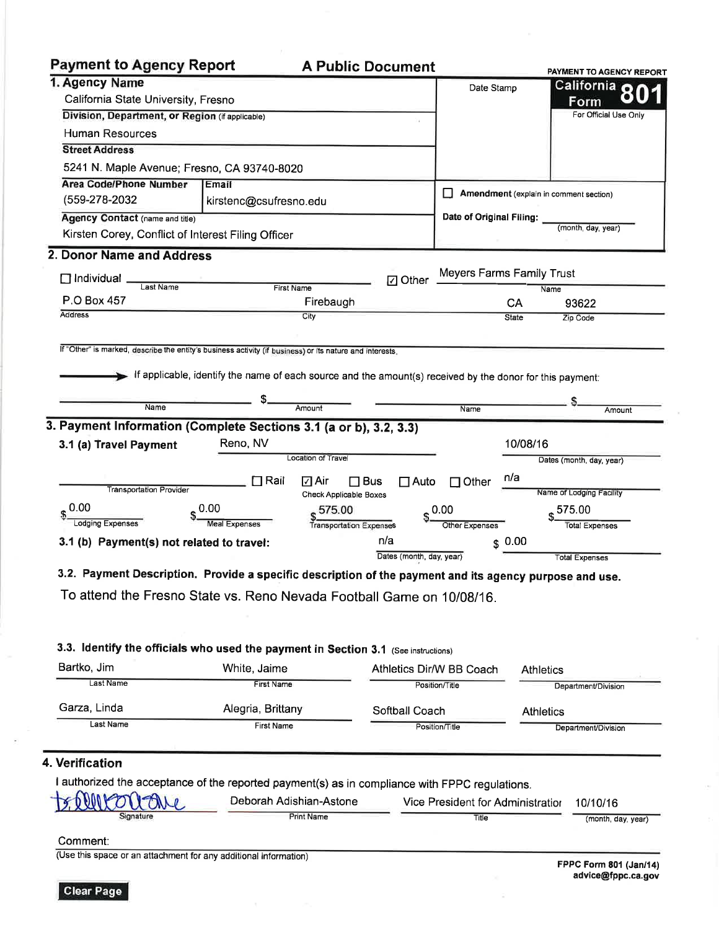| <b>Payment to Agency Report</b>                                                                          |                                                                                                           | <b>A Public Document</b> |                                   |                                        | PAYMENT TO AGENCY REPORT                                          |
|----------------------------------------------------------------------------------------------------------|-----------------------------------------------------------------------------------------------------------|--------------------------|-----------------------------------|----------------------------------------|-------------------------------------------------------------------|
| 1. Agency Name                                                                                           |                                                                                                           |                          | Date Stamp                        |                                        | <b>California</b>                                                 |
| California State University, Fresno                                                                      |                                                                                                           |                          |                                   |                                        | Form                                                              |
| Division, Department, or Region (if applicable)                                                          |                                                                                                           |                          |                                   |                                        | For Official Use Only                                             |
| Human Resources                                                                                          |                                                                                                           |                          |                                   |                                        |                                                                   |
| <b>Street Address</b>                                                                                    |                                                                                                           |                          |                                   |                                        |                                                                   |
| 5241 N. Maple Avenue; Fresno, CA 93740-8020                                                              |                                                                                                           |                          |                                   |                                        |                                                                   |
| <b>Area Code/Phone Number</b><br>Email                                                                   |                                                                                                           |                          |                                   |                                        |                                                                   |
| (559-278-2032                                                                                            | kirstenc@csufresno.edu                                                                                    |                          |                                   | Amendment (explain in comment section) |                                                                   |
| <b>Agency Contact (name and title)</b>                                                                   |                                                                                                           |                          | Date of Original Filing:          |                                        |                                                                   |
| Kirsten Corey, Conflict of Interest Filing Officer                                                       |                                                                                                           |                          |                                   |                                        | (month, day, year)                                                |
| 2. Donor Name and Address                                                                                |                                                                                                           |                          |                                   |                                        |                                                                   |
| $\square$ Individual                                                                                     |                                                                                                           | <b>7</b> Other           | Meyers Farms Family Trust         |                                        |                                                                   |
| Last Name                                                                                                | <b>First Name</b>                                                                                         |                          |                                   | Name                                   |                                                                   |
| P.O Box 457<br><b>Address</b>                                                                            | Firebaugh                                                                                                 |                          |                                   | CA                                     | 93622                                                             |
|                                                                                                          | City                                                                                                      |                          |                                   | State                                  | Zip Code                                                          |
|                                                                                                          |                                                                                                           |                          |                                   |                                        |                                                                   |
| If "Other" is marked, describe the entity's business activity (if business) or its nature and interests, |                                                                                                           |                          |                                   |                                        |                                                                   |
|                                                                                                          | If applicable, identify the name of each source and the amount(s) received by the donor for this payment: |                          |                                   |                                        |                                                                   |
|                                                                                                          |                                                                                                           |                          |                                   |                                        |                                                                   |
| Name                                                                                                     | Amount                                                                                                    |                          | Name                              |                                        | Amount                                                            |
| <b>Transportation Provider</b><br>0.00<br>0.00<br>Lodging Expenses                                       | <b>Check Applicable Boxes</b><br>575.00<br><b>Meal Expenses</b><br><b>Transportation Expenses</b>         |                          | 0.00<br>Other Expenses            |                                        | Name of Lodging Facility<br>$$^{575.00}$<br><b>Total Expenses</b> |
| 3.1 (b) Payment(s) not related to travel:                                                                |                                                                                                           | n/a                      | $S$ 0.00                          |                                        |                                                                   |
|                                                                                                          |                                                                                                           | Dates (month, day, year) |                                   |                                        | <b>Total Expenses</b>                                             |
| 3.2. Payment Description. Provide a specific description of the payment and its agency purpose and use.  |                                                                                                           |                          |                                   |                                        |                                                                   |
| To attend the Fresno State vs. Reno Nevada Football Game on 10/08/16.                                    |                                                                                                           |                          |                                   |                                        |                                                                   |
|                                                                                                          |                                                                                                           |                          |                                   |                                        |                                                                   |
|                                                                                                          |                                                                                                           |                          |                                   |                                        |                                                                   |
|                                                                                                          |                                                                                                           |                          |                                   |                                        |                                                                   |
| 3.3. Identify the officials who used the payment in Section 3.1 (See instructions)                       |                                                                                                           |                          |                                   |                                        |                                                                   |
| Bartko, Jim                                                                                              | White, Jaime                                                                                              |                          | Athletics Dir/W BB Coach          | <b>Athletics</b>                       |                                                                   |
| Last Name                                                                                                | <b>First Name</b>                                                                                         |                          | Position/Title                    |                                        | Department/Division                                               |
| Garza, Linda                                                                                             | Alegria, Brittany                                                                                         | Softball Coach           |                                   | <b>Athletics</b>                       |                                                                   |
| Last Name                                                                                                | First Name                                                                                                |                          | Position/Title                    |                                        | Department/Division                                               |
|                                                                                                          |                                                                                                           |                          |                                   |                                        |                                                                   |
| 4. Verification                                                                                          |                                                                                                           |                          |                                   |                                        |                                                                   |
|                                                                                                          |                                                                                                           |                          |                                   |                                        |                                                                   |
| I authorized the acceptance of the reported payment(s) as in compliance with FPPC regulations.           |                                                                                                           |                          |                                   |                                        |                                                                   |
|                                                                                                          | Deborah Adishian-Astone                                                                                   |                          | Vice President for Administration |                                        | 10/10/16                                                          |
| Signature                                                                                                | <b>Print Name</b>                                                                                         |                          | Title                             |                                        | (month, day, year)                                                |
| Comment:                                                                                                 |                                                                                                           |                          |                                   |                                        |                                                                   |
| (Use this space or an attachment for any additional information)                                         |                                                                                                           |                          |                                   |                                        |                                                                   |

FPPC Form 801 (Jan/14)<br>advice@fppc.ca.gov

o.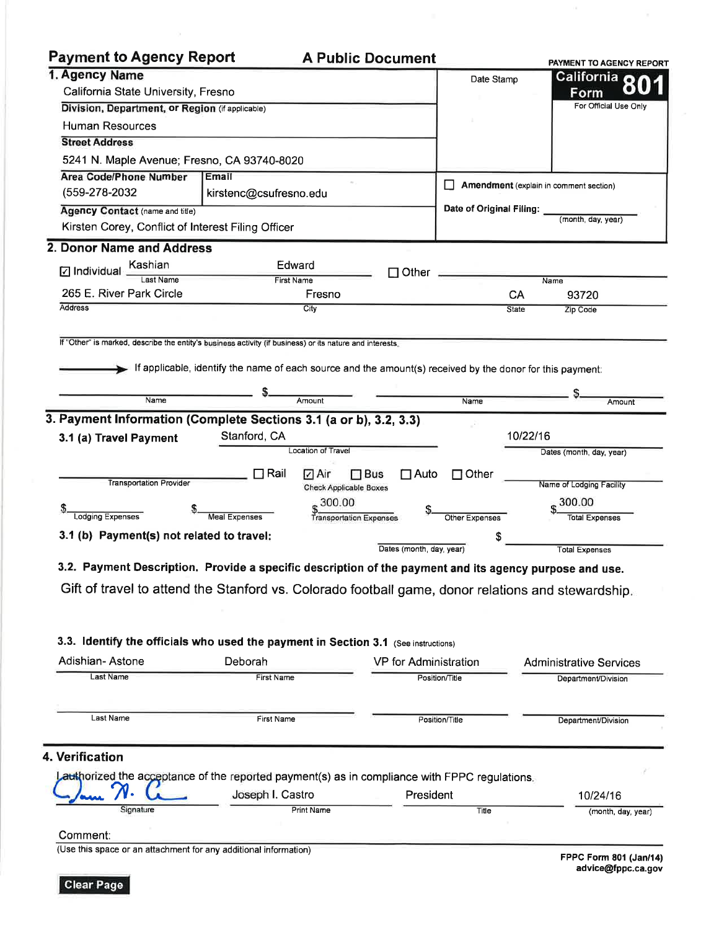# **Payment to Agency Report**

## **A Public Document**

| ו מאוויפווי וט השפחטא ולפטטו ו                     |                                                                                                                                                                                          | A PUDIIC DOCUMENT         |                          | PAYMENT TO AGENCY REPORT               |
|----------------------------------------------------|------------------------------------------------------------------------------------------------------------------------------------------------------------------------------------------|---------------------------|--------------------------|----------------------------------------|
| 1. Agency Name                                     |                                                                                                                                                                                          |                           | Date Stamp               | <b>California</b>                      |
| California State University, Fresno                |                                                                                                                                                                                          |                           |                          | Form                                   |
| Division, Department, or Region (if applicable)    |                                                                                                                                                                                          |                           |                          | For Official Use Only                  |
| <b>Human Resources</b>                             |                                                                                                                                                                                          |                           |                          |                                        |
| <b>Street Address</b>                              |                                                                                                                                                                                          |                           |                          |                                        |
| 5241 N. Maple Avenue; Fresno, CA 93740-8020        |                                                                                                                                                                                          |                           |                          |                                        |
| <b>Area Code/Phone Number</b>                      | Email                                                                                                                                                                                    |                           |                          |                                        |
| (559-278-2032)                                     | kirstenc@csufresno.edu                                                                                                                                                                   |                           |                          | Amendment (explain in comment section) |
| <b>Agency Contact (name and title)</b>             |                                                                                                                                                                                          |                           | Date of Original Filing: | (month, day, year)                     |
| Kirsten Corey, Conflict of Interest Filing Officer |                                                                                                                                                                                          |                           |                          |                                        |
| 2. Donor Name and Address                          |                                                                                                                                                                                          |                           |                          |                                        |
| Kashian<br>$\Box$ Individual                       | Edward                                                                                                                                                                                   | $\Box$ Other              |                          |                                        |
| ast Name                                           | <b>First Name</b>                                                                                                                                                                        |                           |                          | Name                                   |
| 265 E. River Park Circle                           | Fresno                                                                                                                                                                                   |                           | CA                       | 93720                                  |
| <b>Address</b>                                     | City                                                                                                                                                                                     |                           | <b>State</b>             | Zip Code                               |
|                                                    | If "Other" is marked, describe the entity's business activity (if business) or its nature and interests.                                                                                 |                           |                          |                                        |
|                                                    | If applicable, identify the name of each source and the amount(s) received by the donor for this payment:                                                                                |                           |                          |                                        |
| Name                                               | Amount                                                                                                                                                                                   |                           |                          |                                        |
|                                                    |                                                                                                                                                                                          |                           | Name                     | Amount                                 |
|                                                    | 3. Payment Information (Complete Sections 3.1 (a or b), 3.2, 3.3)                                                                                                                        |                           |                          |                                        |
| 3.1 (a) Travel Payment                             | Stanford, CA                                                                                                                                                                             |                           |                          | 10/22/16                               |
|                                                    | Location of Travel                                                                                                                                                                       |                           |                          | Dates (month, day, year)               |
|                                                    | $\Box$ Rail<br>√ Air                                                                                                                                                                     | $\Box$ Bus<br>$\Box$ Auto | $\Box$ Other             |                                        |
| <b>Transportation Provider</b>                     | <b>Check Applicable Boxes</b>                                                                                                                                                            |                           |                          | Name of Lodging Facility               |
|                                                    | 300.00                                                                                                                                                                                   |                           |                          | 300.00                                 |
| Lodging Expenses                                   | <b>Meal Expenses</b><br><b>Transportation Expenses</b>                                                                                                                                   |                           | Other Expenses           | <b>Total Expenses</b>                  |
| 3.1 (b) Payment(s) not related to travel:          |                                                                                                                                                                                          |                           | S                        |                                        |
|                                                    |                                                                                                                                                                                          | Dates (month, day, year)  |                          | <b>Total Expenses</b>                  |
|                                                    | 3.2. Payment Description. Provide a specific description of the payment and its agency purpose and use.                                                                                  |                           |                          |                                        |
|                                                    | Gift of travel to attend the Stanford vs. Colorado football game, donor relations and stewardship.<br>3.3. Identify the officials who used the payment in Section 3.1 (See instructions) |                           |                          |                                        |
| Adishian-Astone                                    | Deborah                                                                                                                                                                                  | VP for Administration     |                          | <b>Administrative Services</b>         |
| Last Name                                          | First Name                                                                                                                                                                               |                           | Position/Title           | Department/Division                    |
|                                                    |                                                                                                                                                                                          |                           |                          |                                        |
| Last Name                                          | <b>First Name</b>                                                                                                                                                                        |                           | Position/Title           | Department/Division                    |
| 4. Verification                                    | authorized the acceptance of the reported payment(s) as in compliance with FPPC regulations.                                                                                             |                           |                          |                                        |
|                                                    | Joseph I. Castro                                                                                                                                                                         | President                 |                          | 10/24/16                               |

Print Name

Comment:

Signature

Jam

(Use this space or an attachment for any additional information)

FPPC Form 801 (Jan/14) advice@fppc.ca.gov

(month, day, year)

Title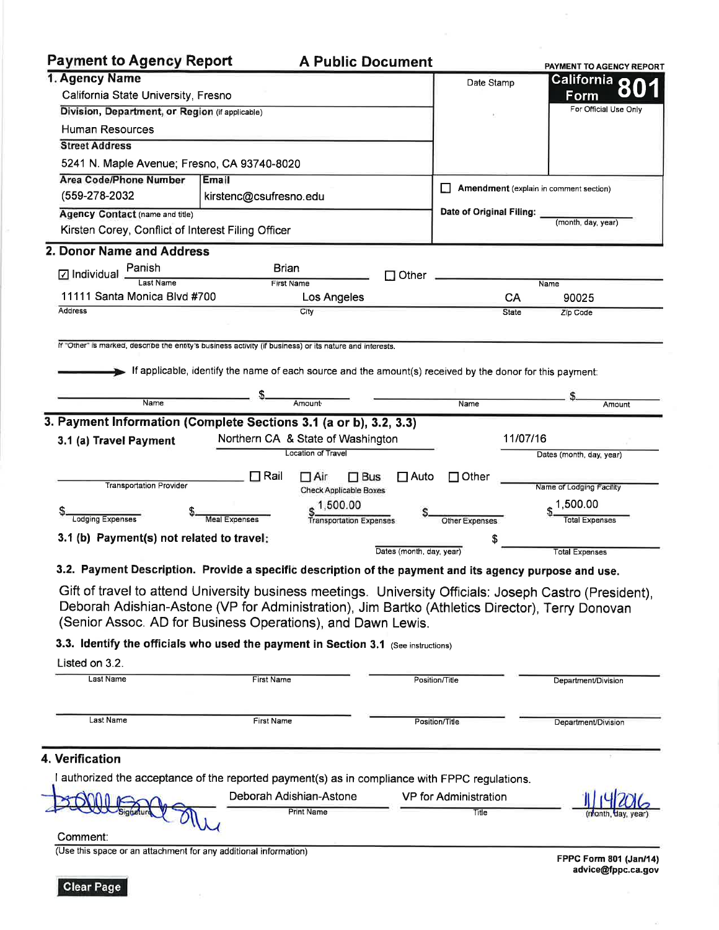#### **Payment to Agency Report A Public Document** PAYMENT TO AGENCY REPORT 1. Agency Name <u>California</u> Date Stamp California State University, Fresno Form For Official Use Only Division, Department, or Region (if applicable) Human Resources **Street Address** 5241 N. Maple Avenue; Fresno, CA 93740-8020 **Area Code/Phone Number** Email Amendment (explain in comment section) (559-278-2032 kirstenc@csufresno.edu Date of Original Filing: **Agency Contact (name and title)** (month, day, year) Kirsten Corey, Conflict of Interest Filing Officer 2. Donor Name and Address Panish Brian  $\nabla$  Individual  $\Box$  Other Last Name **First Name**  $\overline{\mathsf{Name}}$ 11111 Santa Monica Blvd #700 CA Los Angeles 90025 Address City Zip Code **State** If "Other" is marked, describe the entity's business activity (if business) or its nature and interests. If applicable, identify the name of each source and the amount(s) received by the donor for this payment: Name Amount Name Amount 3. Payment Information (Complete Sections 3.1 (a or b), 3.2, 3.3) Northern CA & State of Washington 11/07/16 3.1 (a) Travel Payment Location of Travel Dates (month, day, year)  $\Box$  Rail  $\Box$  Air  $\Box$  Bus  $\Box$  Auto  $\Box$  Other **Transportation Provider** Name of Lodging Facility **Check Applicable Boxes** 1,500.00 1,500.00 Lodging Expenses **Meal Expenses** Transportation Expenses **Total Expenses** Other Expenses 3.1 (b) Payment(s) not related to travel: Dates (month, day, year) **Total Expenses** 3.2. Payment Description. Provide a specific description of the payment and its agency purpose and use. Gift of travel to attend University business meetings. University Officials: Joseph Castro (President), Deborah Adishian-Astone (VP for Administration), Jim Bartko (Athletics Director), Terry Donovan (Senior Assoc. AD for Business Operations), and Dawn Lewis. 3.3. Identify the officials who used the payment in Section 3.1 (See instructions) Listed on 3.2. Last Name **First Name** Position/Title Department/Division Last Name **First Name** Position/Title Department/Division 4. Verification

I authorized the acceptance of the reported payment(s) as in compliance with FPPC regulations.  $A - A$ **Contractor** 

| P(X)             | Deborah Adishian-Astone | VP for Administration | 1114701            |
|------------------|-------------------------|-----------------------|--------------------|
| <b>Signature</b> | <b>Print Name</b>       | Title                 | (month, day, year) |
| `ommont:         |                         |                       |                    |

Comment:

(Use this space or an attachment for any additional information)

FPPC Form 801 (Jan/14) advice@fppc.ca.gov

 $n1$  edges